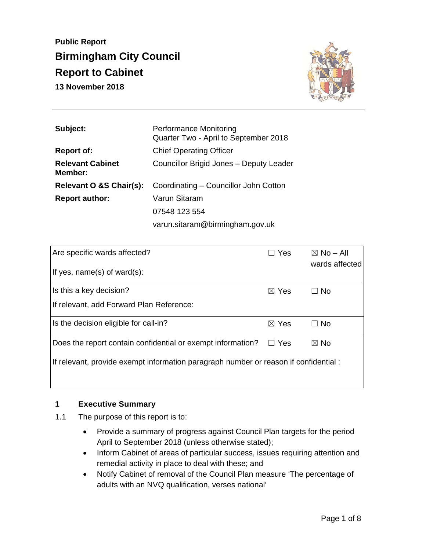**Public Report Birmingham City Council Report to Cabinet 13 November 2018** 



| Subject:                           | <b>Performance Monitoring</b><br>Quarter Two - April to September 2018 |  |
|------------------------------------|------------------------------------------------------------------------|--|
| <b>Report of:</b>                  | <b>Chief Operating Officer</b>                                         |  |
| <b>Relevant Cabinet</b><br>Member: | Councillor Brigid Jones - Deputy Leader                                |  |
| Relevant O &S Chair(s):            | Coordinating – Councillor John Cotton                                  |  |
| <b>Report author:</b>              | Varun Sitaram                                                          |  |
|                                    | 07548 123 554                                                          |  |
|                                    | varun.sitaram@birmingham.gov.uk                                        |  |

| Are specific wards affected?                                                         | $\Box$ Yes      | $\boxtimes$ No – All<br>wards affected |  |  |
|--------------------------------------------------------------------------------------|-----------------|----------------------------------------|--|--|
| If yes, $name(s)$ of ward $(s)$ :                                                    |                 |                                        |  |  |
| Is this a key decision?                                                              | $\boxtimes$ Yes | $\Box$ No                              |  |  |
| If relevant, add Forward Plan Reference:                                             |                 |                                        |  |  |
| Is the decision eligible for call-in?                                                | $\boxtimes$ Yes | $\Box$ No                              |  |  |
| Does the report contain confidential or exempt information?                          | $\Box$ Yes      | $\boxtimes$ No                         |  |  |
| If relevant, provide exempt information paragraph number or reason if confidential : |                 |                                        |  |  |
|                                                                                      |                 |                                        |  |  |

#### **1 Executive Summary**

- 1.1 The purpose of this report is to:
	- Provide a summary of progress against Council Plan targets for the period April to September 2018 (unless otherwise stated);
	- Inform Cabinet of areas of particular success, issues requiring attention and remedial activity in place to deal with these; and
	- Notify Cabinet of removal of the Council Plan measure 'The percentage of adults with an NVQ qualification, verses national'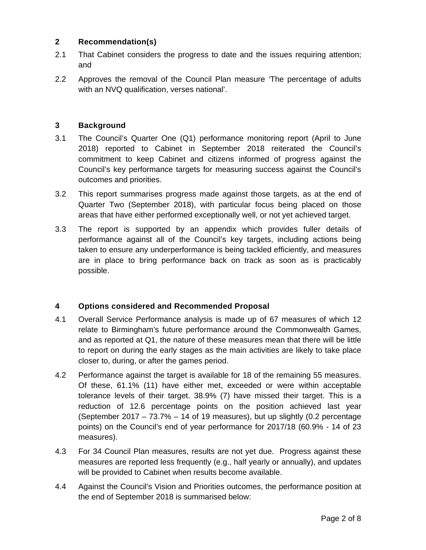#### **2 Recommendation(s)**

- 2.1 That Cabinet considers the progress to date and the issues requiring attention; and
- 2.2 Approves the removal of the Council Plan measure 'The percentage of adults with an NVQ qualification, verses national'.

## **3 Background**

- 3.1 The Council's Quarter One (Q1) performance monitoring report (April to June 2018) reported to Cabinet in September 2018 reiterated the Council's commitment to keep Cabinet and citizens informed of progress against the Council's key performance targets for measuring success against the Council's outcomes and priorities.
- 3.2 This report summarises progress made against those targets, as at the end of Quarter Two (September 2018), with particular focus being placed on those areas that have either performed exceptionally well, or not yet achieved target.
- 3.3 The report is supported by an appendix which provides fuller details of performance against all of the Council's key targets, including actions being taken to ensure any underperformance is being tackled efficiently, and measures are in place to bring performance back on track as soon as is practicably possible.

## **4 Options considered and Recommended Proposal**

- 4.1 Overall Service Performance analysis is made up of 67 measures of which 12 relate to Birmingham's future performance around the Commonwealth Games, and as reported at Q1, the nature of these measures mean that there will be little to report on during the early stages as the main activities are likely to take place closer to, during, or after the games period.
- 4.2 Performance against the target is available for 18 of the remaining 55 measures. Of these, 61.1% (11) have either met, exceeded or were within acceptable tolerance levels of their target. 38.9% (7) have missed their target. This is a reduction of 12.6 percentage points on the position achieved last year (September 2017 – 73.7% – 14 of 19 measures), but up slightly (0.2 percentage points) on the Council's end of year performance for 2017/18 (60.9% - 14 of 23 measures).
- 4.3 For 34 Council Plan measures, results are not yet due. Progress against these measures are reported less frequently (e.g., half yearly or annually), and updates will be provided to Cabinet when results become available.
- 4.4 Against the Council's Vision and Priorities outcomes, the performance position at the end of September 2018 is summarised below: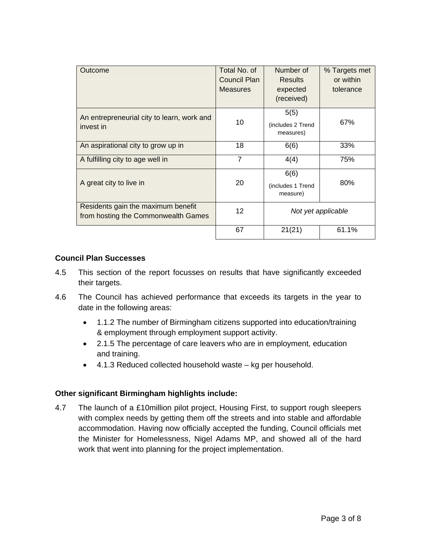| Outcome                                                                   | Total No. of    | Number of                     | % Targets met |
|---------------------------------------------------------------------------|-----------------|-------------------------------|---------------|
|                                                                           | Council Plan    | <b>Results</b>                | or within     |
|                                                                           | <b>Measures</b> | expected                      | tolerance     |
|                                                                           |                 | (received)                    |               |
| An entrepreneurial city to learn, work and                                |                 | 5(5)                          |               |
| invest in                                                                 | 10              | (includes 2 Trend             | 67%           |
|                                                                           |                 | measures)                     |               |
| An aspirational city to grow up in                                        | 18              | 6(6)                          | 33%           |
| A fulfilling city to age well in                                          | $\overline{7}$  | 4(4)                          | 75%           |
|                                                                           |                 | 6(6)                          |               |
| A great city to live in                                                   | 20              | (includes 1 Trend<br>measure) | 80%           |
| Residents gain the maximum benefit<br>from hosting the Commonwealth Games | 12              | Not yet applicable            |               |
|                                                                           | 67              | 21(21)                        | 61.1%         |

#### **Council Plan Successes**

- 4.5 This section of the report focusses on results that have significantly exceeded their targets.
- 4.6 The Council has achieved performance that exceeds its targets in the year to date in the following areas:
	- 1.1.2 The number of Birmingham citizens supported into education/training & employment through employment support activity.
	- 2.1.5 The percentage of care leavers who are in employment, education and training.
	- 4.1.3 Reduced collected household waste kg per household.

## **Other significant Birmingham highlights include:**

4.7 The launch of a £10million pilot project, Housing First, to support rough sleepers with complex needs by getting them off the streets and into stable and affordable accommodation. Having now officially accepted the funding, Council officials met the Minister for Homelessness, Nigel Adams MP, and showed all of the hard work that went into planning for the project implementation.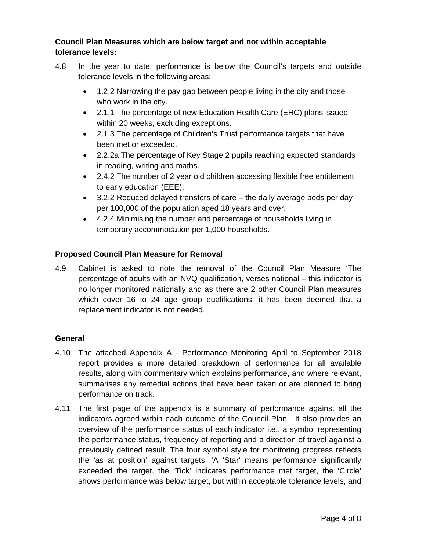## **Council Plan Measures which are below target and not within acceptable tolerance levels:**

- 4.8 In the year to date, performance is below the Council's targets and outside tolerance levels in the following areas:
	- 1.2.2 Narrowing the pay gap between people living in the city and those who work in the city.
	- 2.1.1 The percentage of new Education Health Care (EHC) plans issued within 20 weeks, excluding exceptions.
	- 2.1.3 The percentage of Children's Trust performance targets that have been met or exceeded.
	- 2.2.2a The percentage of Key Stage 2 pupils reaching expected standards in reading, writing and maths.
	- 2.4.2 The number of 2 year old children accessing flexible free entitlement to early education (EEE).
	- 3.2.2 Reduced delayed transfers of care the daily average beds per day per 100,000 of the population aged 18 years and over.
	- 4.2.4 Minimising the number and percentage of households living in temporary accommodation per 1,000 households.

# **Proposed Council Plan Measure for Removal**

4.9 Cabinet is asked to note the removal of the Council Plan Measure 'The percentage of adults with an NVQ qualification, verses national – this indicator is no longer monitored nationally and as there are 2 other Council Plan measures which cover 16 to 24 age group qualifications, it has been deemed that a replacement indicator is not needed.

## **General**

- 4.10 The attached Appendix A Performance Monitoring April to September 2018 report provides a more detailed breakdown of performance for all available results, along with commentary which explains performance, and where relevant, summarises any remedial actions that have been taken or are planned to bring performance on track.
- 4.11 The first page of the appendix is a summary of performance against all the indicators agreed within each outcome of the Council Plan. It also provides an overview of the performance status of each indicator i.e., a symbol representing the performance status, frequency of reporting and a direction of travel against a previously defined result. The four symbol style for monitoring progress reflects the 'as at position' against targets. 'A 'Star' means performance significantly exceeded the target, the 'Tick' indicates performance met target, the 'Circle' shows performance was below target, but within acceptable tolerance levels, and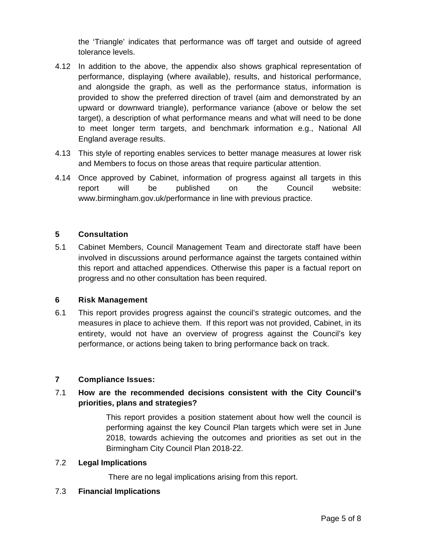the 'Triangle' indicates that performance was off target and outside of agreed tolerance levels.

- 4.12 In addition to the above, the appendix also shows graphical representation of performance, displaying (where available), results, and historical performance, and alongside the graph, as well as the performance status, information is provided to show the preferred direction of travel (aim and demonstrated by an upward or downward triangle), performance variance (above or below the set target), a description of what performance means and what will need to be done to meet longer term targets, and benchmark information e.g., National All England average results.
- 4.13 This style of reporting enables services to better manage measures at lower risk and Members to focus on those areas that require particular attention.
- 4.14 Once approved by Cabinet, information of progress against all targets in this report will be published on the Council website: www.birmingham.gov.uk/performance in line with previous practice.

## **5 Consultation**

5.1 Cabinet Members, Council Management Team and directorate staff have been involved in discussions around performance against the targets contained within this report and attached appendices. Otherwise this paper is a factual report on progress and no other consultation has been required.

## **6 Risk Management**

6.1 This report provides progress against the council's strategic outcomes, and the measures in place to achieve them. If this report was not provided, Cabinet, in its entirety, would not have an overview of progress against the Council's key performance, or actions being taken to bring performance back on track.

## **7 Compliance Issues:**

# 7.1 **How are the recommended decisions consistent with the City Council's priorities, plans and strategies?**

This report provides a position statement about how well the council is performing against the key Council Plan targets which were set in June 2018, towards achieving the outcomes and priorities as set out in the Birmingham City Council Plan 2018-22.

## 7.2 **Legal Implications**

There are no legal implications arising from this report.

## 7.3 **Financial Implications**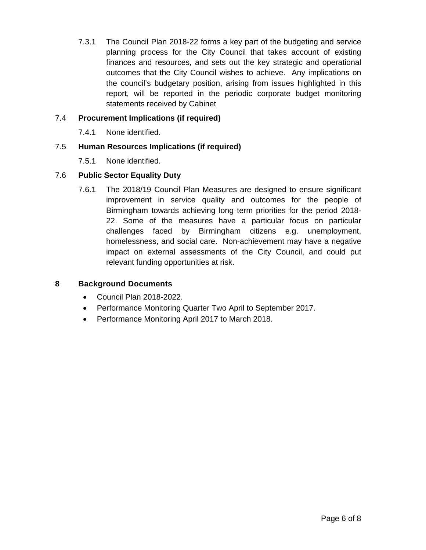7.3.1 The Council Plan 2018-22 forms a key part of the budgeting and service planning process for the City Council that takes account of existing finances and resources, and sets out the key strategic and operational outcomes that the City Council wishes to achieve. Any implications on the council's budgetary position, arising from issues highlighted in this report, will be reported in the periodic corporate budget monitoring statements received by Cabinet

## 7.4 **Procurement Implications (if required)**

7.4.1 None identified.

# 7.5 **Human Resources Implications (if required)**

7.5.1 None identified.

# 7.6 **Public Sector Equality Duty**

7.6.1 The 2018/19 Council Plan Measures are designed to ensure significant improvement in service quality and outcomes for the people of Birmingham towards achieving long term priorities for the period 2018- 22. Some of the measures have a particular focus on particular challenges faced by Birmingham citizens e.g. unemployment, homelessness, and social care. Non-achievement may have a negative impact on external assessments of the City Council, and could put relevant funding opportunities at risk.

## **8 Background Documents**

- Council Plan 2018-2022.
- Performance Monitoring Quarter Two April to September 2017.
- Performance Monitoring April 2017 to March 2018.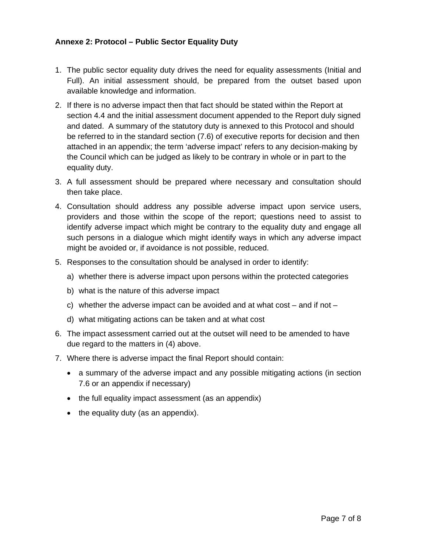#### **Annexe 2: Protocol – Public Sector Equality Duty**

- 1. The public sector equality duty drives the need for equality assessments (Initial and Full). An initial assessment should, be prepared from the outset based upon available knowledge and information.
- 2. If there is no adverse impact then that fact should be stated within the Report at section 4.4 and the initial assessment document appended to the Report duly signed and dated. A summary of the statutory duty is annexed to this Protocol and should be referred to in the standard section (7.6) of executive reports for decision and then attached in an appendix; the term 'adverse impact' refers to any decision-making by the Council which can be judged as likely to be contrary in whole or in part to the equality duty.
- 3. A full assessment should be prepared where necessary and consultation should then take place.
- 4. Consultation should address any possible adverse impact upon service users, providers and those within the scope of the report; questions need to assist to identify adverse impact which might be contrary to the equality duty and engage all such persons in a dialogue which might identify ways in which any adverse impact might be avoided or, if avoidance is not possible, reduced.
- 5. Responses to the consultation should be analysed in order to identify:
	- a) whether there is adverse impact upon persons within the protected categories
	- b) what is the nature of this adverse impact
	- c) whether the adverse impact can be avoided and at what cost  $-$  and if not  $-$
	- d) what mitigating actions can be taken and at what cost
- 6. The impact assessment carried out at the outset will need to be amended to have due regard to the matters in (4) above.
- 7. Where there is adverse impact the final Report should contain:
	- a summary of the adverse impact and any possible mitigating actions (in section 7.6 or an appendix if necessary)
	- the full equality impact assessment (as an appendix)
	- $\bullet$  the equality duty (as an appendix).